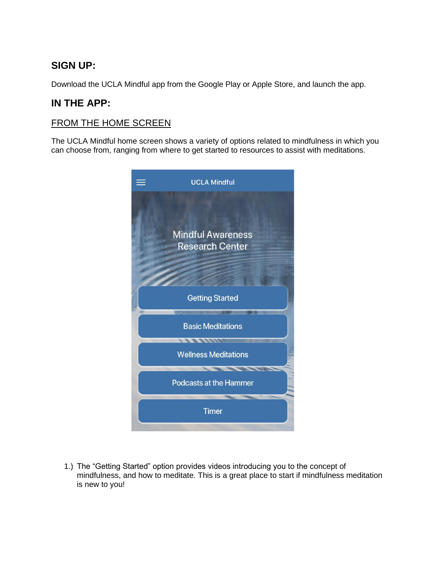## **SIGN UP:**

Download the UCLA Mindful app from the Google Play or Apple Store, and launch the app.

## **IN THE APP:**

## FROM THE HOME SCREEN

The UCLA Mindful home screen shows a variety of options related to mindfulness in which you can choose from, ranging from where to get started to resources to assist with meditations.



1.) The "Getting Started" option provides videos introducing you to the concept of mindfulness, and how to meditate. This is a great place to start if mindfulness meditation is new to you!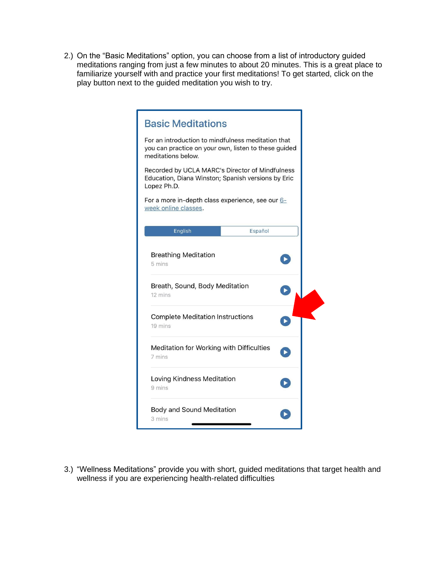2.) On the "Basic Meditations" option, you can choose from a list of introductory guided meditations ranging from just a few minutes to about 20 minutes. This is a great place to familiarize yourself with and practice your first meditations! To get started, click on the play button next to the guided meditation you wish to try.

| <b>Basic Meditations</b>                                                                                                         |  |
|----------------------------------------------------------------------------------------------------------------------------------|--|
| For an introduction to mindfulness meditation that<br>you can practice on your own, listen to these guided<br>meditations below. |  |
| Recorded by UCLA MARC's Director of Mindfulness<br>Education, Diana Winston; Spanish versions by Eric<br>Lopez Ph.D.             |  |
| For a more in-depth class experience, see our 6-<br>week online classes.                                                         |  |
| English<br>Español                                                                                                               |  |
| <b>Breathing Meditation</b><br>5 mins<br>Breath, Sound, Body Meditation<br>12 mins                                               |  |
| <b>Complete Meditation Instructions</b><br>19 mins                                                                               |  |
| Meditation for Working with Difficulties<br>7 mins                                                                               |  |
| Loving Kindness Meditation<br>9 mins                                                                                             |  |
| <b>Body and Sound Meditation</b><br>3 mins                                                                                       |  |

3.) "Wellness Meditations" provide you with short, guided meditations that target health and wellness if you are experiencing health-related difficulties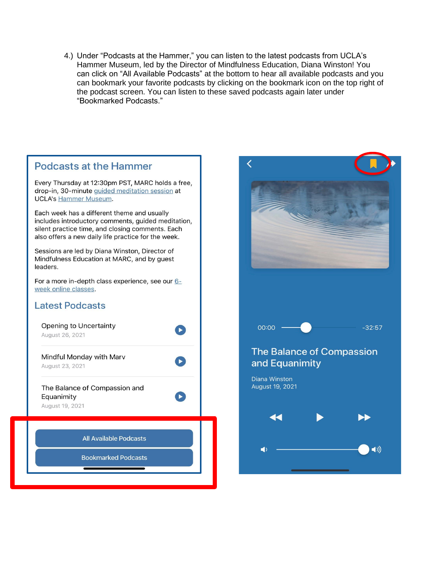4.) Under "Podcasts at the Hammer," you can listen to the latest podcasts from UCLA's Hammer Museum, led by the Director of Mindfulness Education, Diana Winston! You can click on "All Available Podcasts" at the bottom to hear all available podcasts and you can bookmark your favorite podcasts by clicking on the bookmark icon on the top right of the podcast screen. You can listen to these saved podcasts again later under "Bookmarked Podcasts."



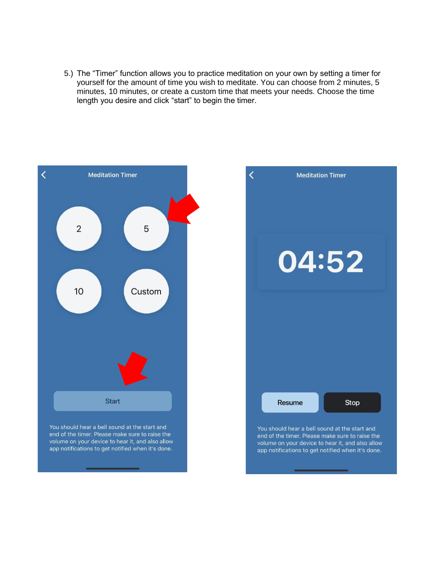5.) The "Timer" function allows you to practice meditation on your own by setting a timer for yourself for the amount of time you wish to meditate. You can choose from 2 minutes, 5 minutes, 10 minutes, or create a custom time that meets your needs. Choose the time length you desire and click "start" to begin the timer.



You should hear a bell sound at the start and end of the timer. Please make sure to raise the volume on your device to hear it, and also allow app notifications to get notified when it's done.